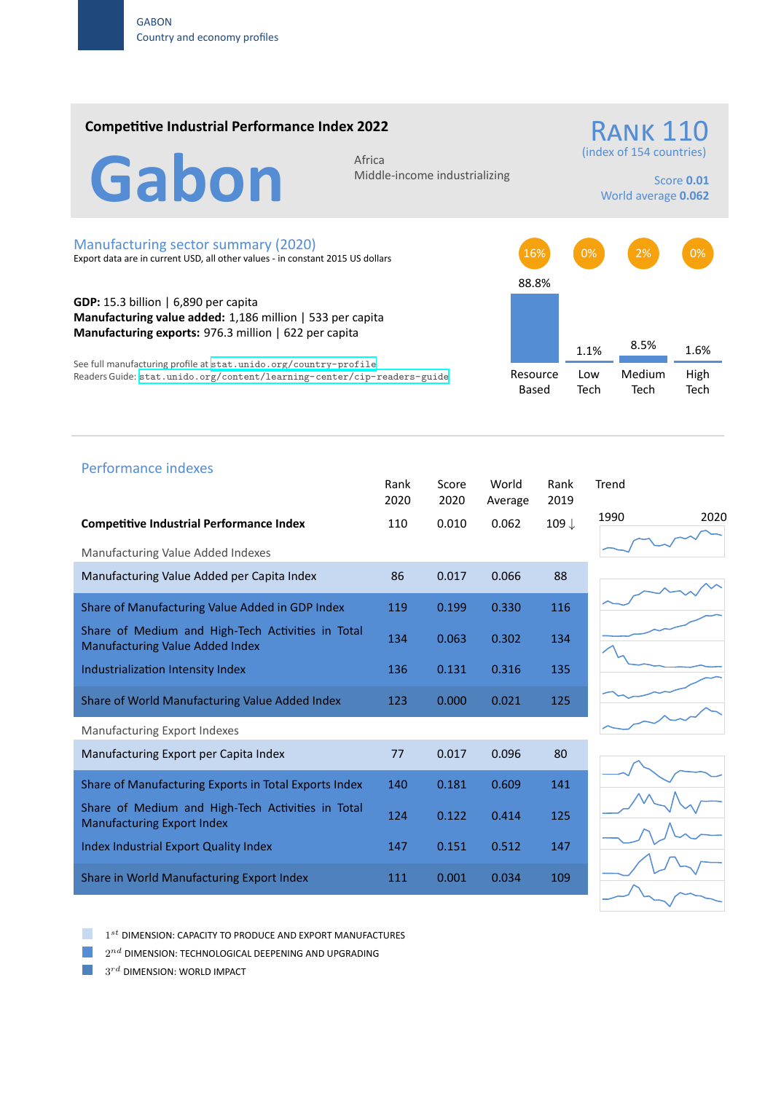## **Competitive Industrial Performance Index 2022**

RANK 110

(index of 154 countries)

Gabon Africa

Middle‐income industrializing

Score **0.01** World average **0.062**

#### Manufacturing sector summary (2020)

Export data are in current USD, all other values ‐ in constant 2015 US dollars

**GDP:** 15.3 billion | 6,890 per capita **Manufacturing value added:** 1,186 million | 533 per capita **Manufacturing exports:** 976.3 million | 622 per capita

See full manufacturing profile at stat.unido.org/country-profile Readers Guide: stat.unido.org/content/learning-center/cip-readers-guide



# Performance indexes Rank Score World Rank Trend 2020 2020 Average 2019 **Competitive Industrial Performance Index** 110 0.010 0.062 109 *↓* Manufacturing Value Added Indexes Manufacturing Value Added per Capita Index 86 0.017 0.066 88 Share of Manufacturing Value Added in GDP Index 119 0.199 0.330 116 Share of Medium and High‐Tech Activities in Total Share of Medium and High-Tech Activities in Total 134 0.063 0.302 134 Industrialization Intensity Index 136 0.131 0.316 135 Share of World Manufacturing Value Added Index 123 0.000 0.021 125 Manufacturing Export Indexes Manufacturing Export per Capita Index  $\begin{array}{ccc} 77 & 0.017 & 0.096 \end{array}$  80 Share of Manufacturing Exports in Total Exports Index 140 0.181 0.609 141 Share of Medium and High‐Tech Activities in Total Share of Medium and High-Tech Activities in Iodal 124 0.122 0.414 125 Index Industrial Export Quality Index 147 0.151 0.512 147 Share in World Manufacturing Export Index 111 0.001 0.034 109

1990 2020





1 *st* DIMENSION: CAPACITY TO PRODUCE AND EXPORT MANUFACTURES

 $2^{nd}$  DIMENSION: TECHNOLOGICAL DEEPENING AND UPGRADING

 $3^{rd}$  DIMENSION: WORLD IMPACT